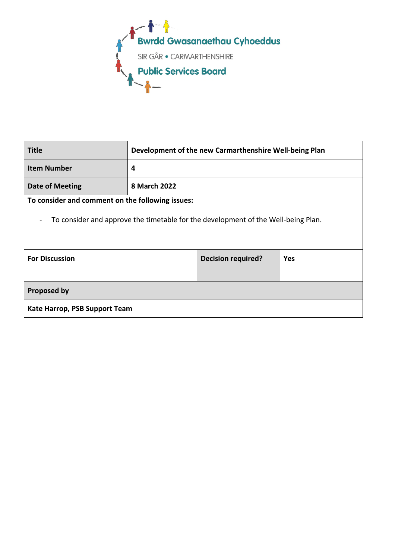

| <b>Title</b>                                                                                        | Development of the new Carmarthenshire Well-being Plan |                           |            |  |
|-----------------------------------------------------------------------------------------------------|--------------------------------------------------------|---------------------------|------------|--|
| <b>Item Number</b>                                                                                  | 4                                                      |                           |            |  |
| <b>Date of Meeting</b>                                                                              | 8 March 2022                                           |                           |            |  |
| To consider and comment on the following issues:                                                    |                                                        |                           |            |  |
| To consider and approve the timetable for the development of the Well-being Plan.<br>$\blacksquare$ |                                                        |                           |            |  |
| <b>For Discussion</b>                                                                               |                                                        | <b>Decision required?</b> | <b>Yes</b> |  |
|                                                                                                     |                                                        |                           |            |  |
| <b>Proposed by</b>                                                                                  |                                                        |                           |            |  |
| Kate Harrop, PSB Support Team                                                                       |                                                        |                           |            |  |